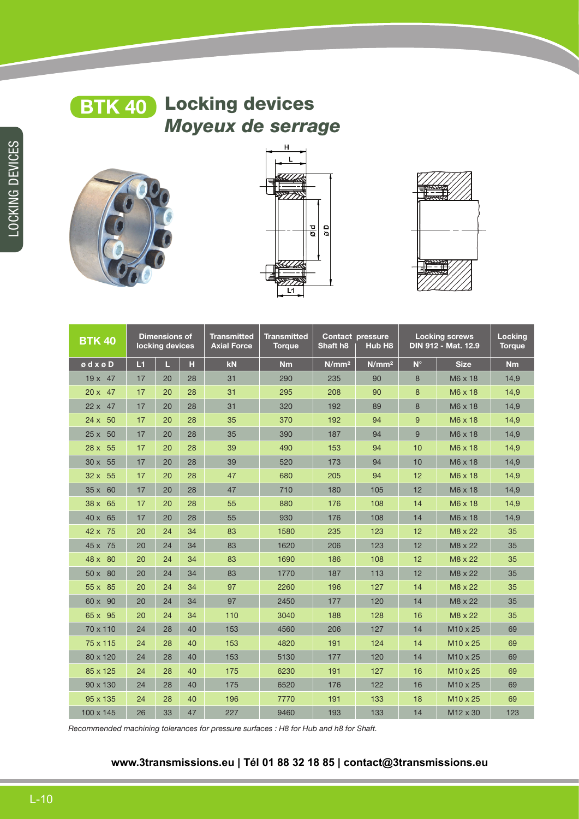

# **BTK 40** Locking devices *Moyeux de serrage*







| <b>BTK 40</b>         | <b>Dimensions of</b><br>locking devices |    | <b>Transmitted</b><br><b>Axial Force</b> | <b>Transmitted</b><br><b>Torque</b> | <b>Contact pressure</b><br>Shaft h <sub>8</sub><br>Hub H <sub>8</sub> |                   | <b>Locking screws</b><br>DIN 912 - Mat. 12.9 |             | <b>Locking</b><br><b>Torque</b> |      |
|-----------------------|-----------------------------------------|----|------------------------------------------|-------------------------------------|-----------------------------------------------------------------------|-------------------|----------------------------------------------|-------------|---------------------------------|------|
| $\circ$ d x $\circ$ D | L1                                      | П  | н                                        | kN                                  | Nm                                                                    | N/mm <sup>2</sup> | N/mm <sup>2</sup>                            | $N^{\circ}$ | <b>Size</b>                     | Nm   |
| $19x$ 47              | 17                                      | 20 | 28                                       | 31                                  | 290                                                                   | 235               | 90                                           | 8           | M6 x 18                         | 14,9 |
| $20 \times 47$        | 17                                      | 20 | 28                                       | 31                                  | 295                                                                   | 208               | 90                                           | 8           | M6 x 18                         | 14,9 |
| $22 \times 47$        | 17                                      | 20 | 28                                       | 31                                  | 320                                                                   | 192               | 89                                           | 8           | M6 x 18                         | 14,9 |
| $24 \times 50$        | 17                                      | 20 | 28                                       | 35                                  | 370                                                                   | 192               | 94                                           | 9           | M6 x 18                         | 14,9 |
| $25 \times 50$        | 17                                      | 20 | 28                                       | 35                                  | 390                                                                   | 187               | 94                                           | 9           | M6 x 18                         | 14,9 |
| 28 x 55               | 17                                      | 20 | 28                                       | 39                                  | 490                                                                   | 153               | 94                                           | 10          | M6 x 18                         | 14,9 |
| 30 x 55               | 17                                      | 20 | 28                                       | 39                                  | 520                                                                   | 173               | 94                                           | 10          | M6 x 18                         | 14,9 |
| $32 \times 55$        | 17                                      | 20 | 28                                       | 47                                  | 680                                                                   | 205               | 94                                           | 12          | M6 x 18                         | 14,9 |
| 35 x 60               | 17                                      | 20 | 28                                       | 47                                  | 710                                                                   | 180               | 105                                          | 12          | M6 x 18                         | 14,9 |
| $38 \times 65$        | 17                                      | 20 | 28                                       | 55                                  | 880                                                                   | 176               | 108                                          | 14          | M6 x 18                         | 14,9 |
| 40 x 65               | 17                                      | 20 | 28                                       | 55                                  | 930                                                                   | 176               | 108                                          | 14          | M6 x 18                         | 14,9 |
| 42 x 75               | 20                                      | 24 | 34                                       | 83                                  | 1580                                                                  | 235               | 123                                          | 12          | M8 x 22                         | 35   |
| 45 x 75               | 20                                      | 24 | 34                                       | 83                                  | 1620                                                                  | 206               | 123                                          | 12          | M8 x 22                         | 35   |
| 48 x 80               | 20                                      | 24 | 34                                       | 83                                  | 1690                                                                  | 186               | 108                                          | 12          | M8 x 22                         | 35   |
| 50 x 80               | 20                                      | 24 | 34                                       | 83                                  | 1770                                                                  | 187               | 113                                          | 12          | M8 x 22                         | 35   |
| 55 x 85               | 20                                      | 24 | 34                                       | 97                                  | 2260                                                                  | 196               | 127                                          | 14          | M8 x 22                         | 35   |
| 60 x 90               | 20                                      | 24 | 34                                       | 97                                  | 2450                                                                  | 177               | 120                                          | 14          | M8 x 22                         | 35   |
| 65 x 95               | 20                                      | 24 | 34                                       | 110                                 | 3040                                                                  | 188               | 128                                          | 16          | M8 x 22                         | 35   |
| 70 x 110              | 24                                      | 28 | 40                                       | 153                                 | 4560                                                                  | 206               | 127                                          | 14          | M10 x 25                        | 69   |
| 75 x 115              | 24                                      | 28 | 40                                       | 153                                 | 4820                                                                  | 191               | 124                                          | 14          | M <sub>10</sub> x 25            | 69   |
| 80 x 120              | 24                                      | 28 | 40                                       | 153                                 | 5130                                                                  | 177               | 120                                          | 14          | M10 x 25                        | 69   |
| 85 x 125              | 24                                      | 28 | 40                                       | 175                                 | 6230                                                                  | 191               | 127                                          | 16          | M10 x 25                        | 69   |
| 90 x 130              | 24                                      | 28 | 40                                       | 175                                 | 6520                                                                  | 176               | 122                                          | 16          | M10 x 25                        | 69   |
| 95 x 135              | 24                                      | 28 | 40                                       | 196                                 | 7770                                                                  | 191               | 133                                          | 18          | M10 x 25                        | 69   |
| 100 x 145             | 26                                      | 33 | 47                                       | 227                                 | 9460                                                                  | 193               | 133                                          | 14          | M <sub>12</sub> x 30            | 123  |

*Recommended machining tolerances for pressure surfaces : H8 for Hub and h8 for Shaft.* 

### **www.3transmissions.eu | Tél 01 88 32 18 85 | contact@3transmissions.eu**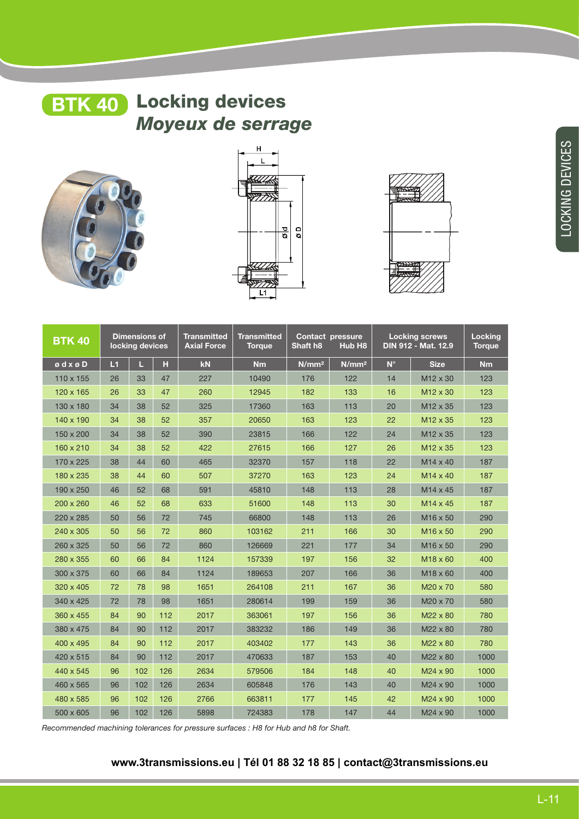# **BTK 40** Locking devices *Moyeux de serrage*







| <b>BTK 40</b>                                   | <b>Dimensions of</b><br>locking devices |     | <b>Transmitted</b><br><b>Axial Force</b> | <b>Transmitted</b><br><b>Torque</b> | <b>Contact pressure</b><br>Shaft h <sub>8</sub><br>Hub H8 |                   | <b>Locking screws</b><br>DIN 912 - Mat. 12.9 |             | <b>Locking</b><br><b>Torque</b> |           |
|-------------------------------------------------|-----------------------------------------|-----|------------------------------------------|-------------------------------------|-----------------------------------------------------------|-------------------|----------------------------------------------|-------------|---------------------------------|-----------|
| $\boldsymbol{\circ}$ d x $\boldsymbol{\circ}$ D | L1                                      | Ш   | н                                        | kN                                  | <b>Nm</b>                                                 | N/mm <sup>2</sup> | N/mm <sup>2</sup>                            | $N^{\circ}$ | <b>Size</b>                     | <b>Nm</b> |
| 110 x 155                                       | 26                                      | 33  | 47                                       | 227                                 | 10490                                                     | 176               | 122                                          | 14          | M12 x 30                        | 123       |
| 120 x 165                                       | 26                                      | 33  | 47                                       | 260                                 | 12945                                                     | 182               | 133                                          | 16          | $M12 \times 30$                 | 123       |
| 130 x 180                                       | 34                                      | 38  | 52                                       | 325                                 | 17360                                                     | 163               | 113                                          | 20          | M12 x 35                        | 123       |
| 140 x 190                                       | 34                                      | 38  | 52                                       | 357                                 | 20650                                                     | 163               | 123                                          | 22          | M12 x 35                        | 123       |
| 150 x 200                                       | 34                                      | 38  | 52                                       | 390                                 | 23815                                                     | 166               | 122                                          | 24          | M12 x 35                        | 123       |
| 160 x 210                                       | 34                                      | 38  | 52                                       | 422                                 | 27615                                                     | 166               | 127                                          | 26          | M12 x 35                        | 123       |
| 170 x 225                                       | 38                                      | 44  | 60                                       | 465                                 | 32370                                                     | 157               | 118                                          | 22          | $M14 \times 40$                 | 187       |
| 180 x 235                                       | 38                                      | 44  | 60                                       | 507                                 | 37270                                                     | 163               | 123                                          | 24          | $M14 \times 40$                 | 187       |
| 190 x 250                                       | 46                                      | 52  | 68                                       | 591                                 | 45810                                                     | 148               | 113                                          | 28          | M14 x 45                        | 187       |
| 200 x 260                                       | 46                                      | 52  | 68                                       | 633                                 | 51600                                                     | 148               | 113                                          | 30          | M14 x 45                        | 187       |
| 220 x 285                                       | 50                                      | 56  | 72                                       | 745                                 | 66800                                                     | 148               | 113                                          | 26          | M <sub>16</sub> x 50            | 290       |
| 240 x 305                                       | 50                                      | 56  | 72                                       | 860                                 | 103162                                                    | 211               | 166                                          | 30          | M <sub>16</sub> x 50            | 290       |
| 260 x 325                                       | 50                                      | 56  | 72                                       | 860                                 | 126669                                                    | 221               | 177                                          | 34          | M16 x 50                        | 290       |
| 280 x 355                                       | 60                                      | 66  | 84                                       | 1124                                | 157339                                                    | 197               | 156                                          | 32          | M <sub>18</sub> x 60            | 400       |
| 300 x 375                                       | 60                                      | 66  | 84                                       | 1124                                | 189653                                                    | 207               | 166                                          | 36          | M18 x 60                        | 400       |
| 320 x 405                                       | 72                                      | 78  | 98                                       | 1651                                | 264108                                                    | 211               | 167                                          | 36          | M20 x 70                        | 580       |
| 340 x 425                                       | 72                                      | 78  | 98                                       | 1651                                | 280614                                                    | 199               | 159                                          | 36          | M20 x 70                        | 580       |
| 360 x 455                                       | 84                                      | 90  | 112                                      | 2017                                | 363061                                                    | 197               | 156                                          | 36          | M22 x 80                        | 780       |
| 380 x 475                                       | 84                                      | 90  | 112                                      | 2017                                | 383232                                                    | 186               | 149                                          | 36          | M22 x 80                        | 780       |
| 400 x 495                                       | 84                                      | 90  | 112                                      | 2017                                | 403402                                                    | 177               | 143                                          | 36          | M22 x 80                        | 780       |
| 420 x 515                                       | 84                                      | 90  | 112                                      | 2017                                | 470633                                                    | 187               | 153                                          | 40          | M22 x 80                        | 1000      |
| 440 x 545                                       | 96                                      | 102 | 126                                      | 2634                                | 579506                                                    | 184               | 148                                          | 40          | M24 x 90                        | 1000      |
| 460 x 565                                       | 96                                      | 102 | 126                                      | 2634                                | 605848                                                    | 176               | 143                                          | 40          | M24 x 90                        | 1000      |
| 480 x 585                                       | 96                                      | 102 | 126                                      | 2766                                | 663811                                                    | 177               | 145                                          | 42          | M24 x 90                        | 1000      |
| 500 x 605                                       | 96                                      | 102 | 126                                      | 5898                                | 724383                                                    | 178               | 147                                          | 44          | M24 x 90                        | 1000      |

*Recommended machining tolerances for pressure surfaces : H8 for Hub and h8 for Shaft.* 

#### **www.3transmissions.eu | Tél 01 88 32 18 85 | contact@3transmissions.eu**